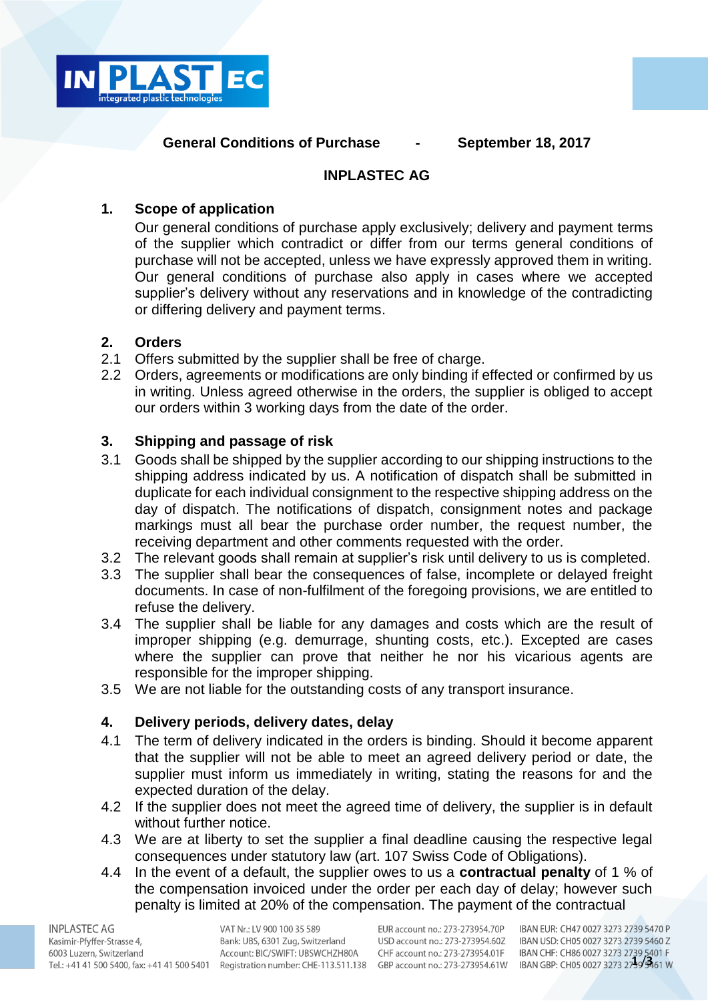

### **General Conditions of Purchase - September 18, 2017**

### **INPLASTEC AG**

# **1. Scope of application**

Our general conditions of purchase apply exclusively; delivery and payment terms of the supplier which contradict or differ from our terms general conditions of purchase will not be accepted, unless we have expressly approved them in writing. Our general conditions of purchase also apply in cases where we accepted supplier's delivery without any reservations and in knowledge of the contradicting or differing delivery and payment terms.

### **2. Orders**

- 2.1 Offers submitted by the supplier shall be free of charge.
- 2.2 Orders, agreements or modifications are only binding if effected or confirmed by us in writing. Unless agreed otherwise in the orders, the supplier is obliged to accept our orders within 3 working days from the date of the order.

# **3. Shipping and passage of risk**

- 3.1 Goods shall be shipped by the supplier according to our shipping instructions to the shipping address indicated by us. A notification of dispatch shall be submitted in duplicate for each individual consignment to the respective shipping address on the day of dispatch. The notifications of dispatch, consignment notes and package markings must all bear the purchase order number, the request number, the receiving department and other comments requested with the order.
- 3.2 The relevant goods shall remain at supplier's risk until delivery to us is completed.
- 3.3 The supplier shall bear the consequences of false, incomplete or delayed freight documents. In case of non-fulfilment of the foregoing provisions, we are entitled to refuse the delivery.
- 3.4 The supplier shall be liable for any damages and costs which are the result of improper shipping (e.g. demurrage, shunting costs, etc.). Excepted are cases where the supplier can prove that neither he nor his vicarious agents are responsible for the improper shipping.
- 3.5 We are not liable for the outstanding costs of any transport insurance.

# **4. Delivery periods, delivery dates, delay**

- 4.1 The term of delivery indicated in the orders is binding. Should it become apparent that the supplier will not be able to meet an agreed delivery period or date, the supplier must inform us immediately in writing, stating the reasons for and the expected duration of the delay.
- 4.2 If the supplier does not meet the agreed time of delivery, the supplier is in default without further notice.
- 4.3 We are at liberty to set the supplier a final deadline causing the respective legal consequences under statutory law (art. 107 Swiss Code of Obligations).
- 4.4 In the event of a default, the supplier owes to us a **contractual penalty** of 1 % of the compensation invoiced under the order per each day of delay; however such penalty is limited at 20% of the compensation. The payment of the contractual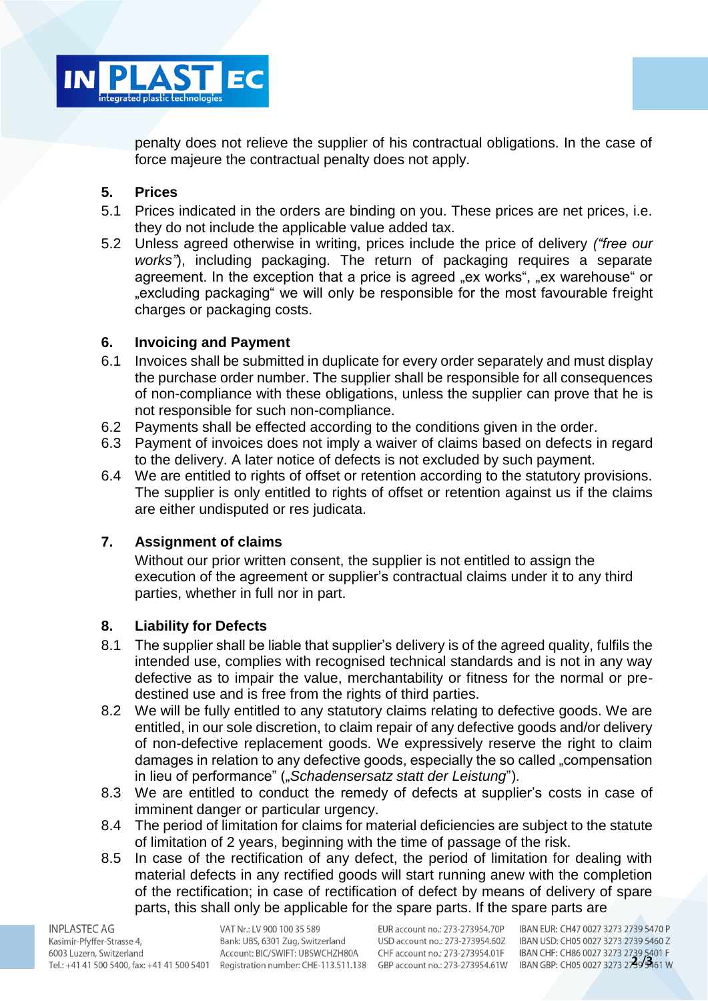

penalty does not relieve the supplier of his contractual obligations. In the case of force majeure the contractual penalty does not apply.

### **5. Prices**

- 5.1 Prices indicated in the orders are binding on you. These prices are net prices, i.e. they do not include the applicable value added tax.
- 5.2 Unless agreed otherwise in writing, prices include the price of delivery *("free our works"*), including packaging. The return of packaging requires a separate agreement. In the exception that a price is agreed "ex works", "ex warehouse" or "excluding packaging" we will only be responsible for the most favourable freight charges or packaging costs.

### **6. Invoicing and Payment**

- 6.1 Invoices shall be submitted in duplicate for every order separately and must display the purchase order number. The supplier shall be responsible for all consequences of non-compliance with these obligations, unless the supplier can prove that he is not responsible for such non-compliance.
- 6.2 Payments shall be effected according to the conditions given in the order.
- 6.3 Payment of invoices does not imply a waiver of claims based on defects in regard to the delivery. A later notice of defects is not excluded by such payment.
- 6.4 We are entitled to rights of offset or retention according to the statutory provisions. The supplier is only entitled to rights of offset or retention against us if the claims are either undisputed or res judicata.

#### **7. Assignment of claims**

Without our prior written consent, the supplier is not entitled to assign the execution of the agreement or supplier's contractual claims under it to any third parties, whether in full nor in part.

#### **8. Liability for Defects**

- 8.1 The supplier shall be liable that supplier's delivery is of the agreed quality, fulfils the intended use, complies with recognised technical standards and is not in any way defective as to impair the value, merchantability or fitness for the normal or predestined use and is free from the rights of third parties.
- 8.2 We will be fully entitled to any statutory claims relating to defective goods. We are entitled, in our sole discretion, to claim repair of any defective goods and/or delivery of non-defective replacement goods. We expressively reserve the right to claim damages in relation to any defective goods, especially the so called "compensation in lieu of performance" ("*Schadensersatz statt der Leistung*").
- 8.3 We are entitled to conduct the remedy of defects at supplier's costs in case of imminent danger or particular urgency.
- 8.4 The period of limitation for claims for material deficiencies are subject to the statute of limitation of 2 years, beginning with the time of passage of the risk.
- 8.5 In case of the rectification of any defect, the period of limitation for dealing with material defects in any rectified goods will start running anew with the completion of the rectification; in case of rectification of defect by means of delivery of spare parts, this shall only be applicable for the spare parts. If the spare parts are